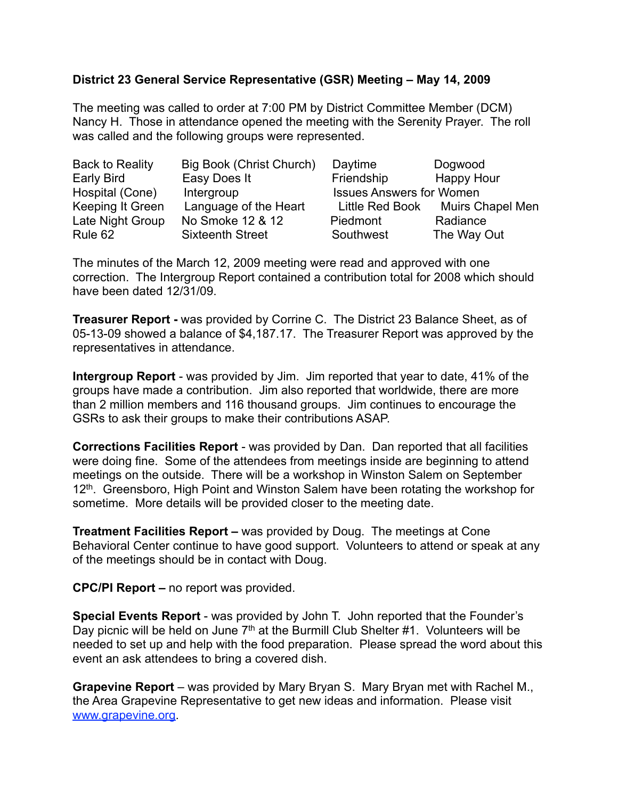## **District 23 General Service Representative (GSR) Meeting – May 14, 2009**

The meeting was called to order at 7:00 PM by District Committee Member (DCM) Nancy H. Those in attendance opened the meeting with the Serenity Prayer. The roll was called and the following groups were represented.

| Back to Reality  | Big Book (Christ Church) | Daytime                         | Dogwood                 |
|------------------|--------------------------|---------------------------------|-------------------------|
| Early Bird       | Easy Does It             | Friendship                      | Happy Hour              |
| Hospital (Cone)  | Intergroup               | <b>Issues Answers for Women</b> |                         |
| Keeping It Green | Language of the Heart    | Little Red Book                 | <b>Muirs Chapel Men</b> |
| Late Night Group | No Smoke 12 & 12         | Piedmont                        | Radiance                |
| Rule 62          | <b>Sixteenth Street</b>  | Southwest                       | The Way Out             |

The minutes of the March 12, 2009 meeting were read and approved with one correction. The Intergroup Report contained a contribution total for 2008 which should have been dated 12/31/09.

**Treasurer Report -** was provided by Corrine C. The District 23 Balance Sheet, as of 05-13-09 showed a balance of \$4,187.17. The Treasurer Report was approved by the representatives in attendance.

**Intergroup Report** - was provided by Jim. Jim reported that year to date, 41% of the groups have made a contribution. Jim also reported that worldwide, there are more than 2 million members and 116 thousand groups. Jim continues to encourage the GSRs to ask their groups to make their contributions ASAP.

**Corrections Facilities Report** - was provided by Dan. Dan reported that all facilities were doing fine. Some of the attendees from meetings inside are beginning to attend meetings on the outside. There will be a workshop in Winston Salem on September 12<sup>th</sup>. Greensboro, High Point and Winston Salem have been rotating the workshop for sometime. More details will be provided closer to the meeting date.

**Treatment Facilities Report –** was provided by Doug. The meetings at Cone Behavioral Center continue to have good support. Volunteers to attend or speak at any of the meetings should be in contact with Doug.

**CPC/PI Report –** no report was provided.

**Special Events Report** - was provided by John T. John reported that the Founder's Day picnic will be held on June  $7<sup>th</sup>$  at the Burmill Club Shelter #1. Volunteers will be needed to set up and help with the food preparation. Please spread the word about this event an ask attendees to bring a covered dish.

**Grapevine Report** – was provided by Mary Bryan S. Mary Bryan met with Rachel M., the Area Grapevine Representative to get new ideas and information. Please visit [www.grapevine.org](http://www.grapevine.org).